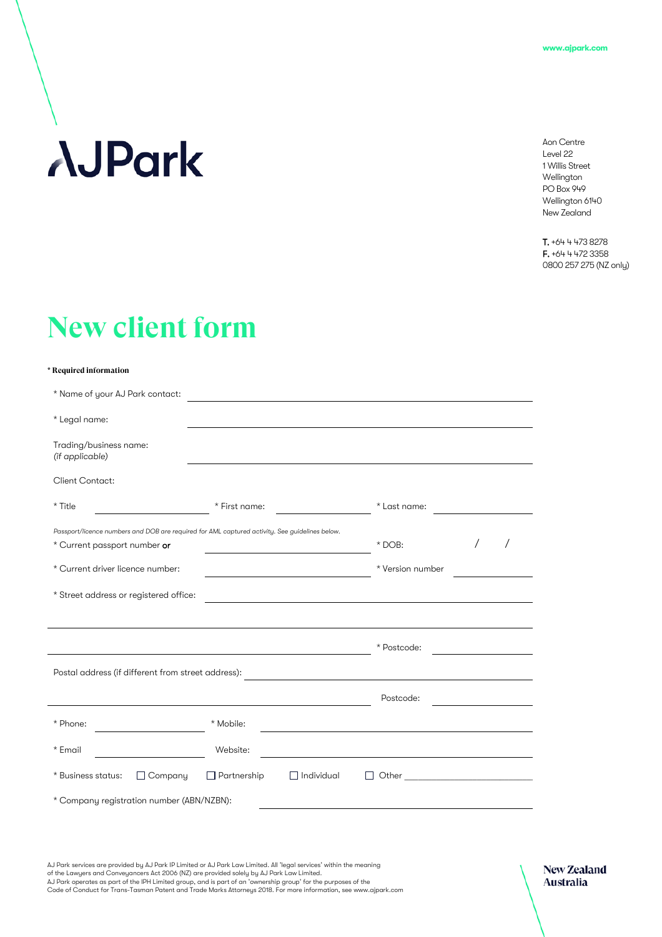# **AJPark**

Aon Centre Level 22 1 Willis Street Wellington PO Box 949 Wellington 6140 New Zealand

T. +64 4 473 8278 F. +64 4 472 3358 0800 257 275 (NZ only)

## **New client form**

#### **\* Required information**

| * Name of your AJ Park contact:                                                                                                |                                         |                  |  |  |
|--------------------------------------------------------------------------------------------------------------------------------|-----------------------------------------|------------------|--|--|
| * Legal name:                                                                                                                  |                                         |                  |  |  |
| Trading/business name:<br>(if applicable)                                                                                      |                                         |                  |  |  |
| <b>Client Contact:</b>                                                                                                         |                                         |                  |  |  |
| * Title                                                                                                                        | * First name:                           | * Last name:     |  |  |
| Passport/licence numbers and DOB are required for AML captured activity. See guidelines below.<br>* Current passport number or |                                         | $*$ DOB:         |  |  |
| * Current driver licence number:                                                                                               |                                         | * Version number |  |  |
| * Street address or registered office:                                                                                         |                                         |                  |  |  |
|                                                                                                                                |                                         |                  |  |  |
|                                                                                                                                |                                         | * Postcode:      |  |  |
| Postal address (if different from street address):                                                                             |                                         |                  |  |  |
|                                                                                                                                |                                         | Postcode:        |  |  |
| * Phone:                                                                                                                       | * Mobile:                               |                  |  |  |
| * Email                                                                                                                        | Website:                                |                  |  |  |
| * Business status:<br>$\Box$ Company                                                                                           | $\Box$ Partnership<br>$\Box$ Individual | LΙ               |  |  |
| * Company registration number (ABN/NZBN):                                                                                      |                                         |                  |  |  |

AJ Park services are provided by AJ Park IP Limited or AJ Park Law Limited. All 'legal services' within the meaning<br>of the Lawyers and Conveyancers Act 2006 (NZ) are provided solely by AJ Park Law Limited.<br>AJ Park operates Code of Conduct for Trans-Tasman Patent and Trade Marks Attorneys 2018. For more information, see www.ajpark.com

**New Zealand** Australia